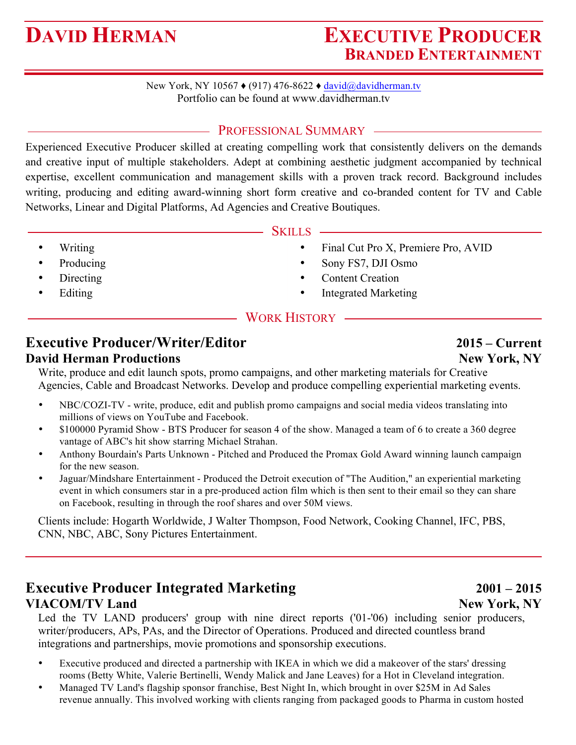# **DAVID HERMAN EXECUTIVE PRODUCER BRANDED ENTERTAINMENT**

New York, NY 10567 ♦ (917) 476-8622 ♦ david@davidherman.tv Portfolio can be found at www.davidherman.tv

## PROFESSIONAL SUMMARY -

Experienced Executive Producer skilled at creating compelling work that consistently delivers on the demands and creative input of multiple stakeholders. Adept at combining aesthetic judgment accompanied by technical expertise, excellent communication and management skills with a proven track record. Background includes writing, producing and editing award-winning short form creative and co-branded content for TV and Cable Networks, Linear and Digital Platforms, Ad Agencies and Creative Boutiques.

### - Skills

- Final Cut Pro X, Premiere Pro, AVID
- Sony FS7, DJI Osmo
- Content Creation
- Integrated Marketing

# WORK HISTORY

# **Executive Producer/Writer/Editor 2015 – Current**

### **David Herman Productions New York, NY**

• Writing • Producing • Directing • Editing

Write, produce and edit launch spots, promo campaigns, and other marketing materials for Creative Agencies, Cable and Broadcast Networks. Develop and produce compelling experiential marketing events.

- NBC/COZI-TV write, produce, edit and publish promo campaigns and social media videos translating into millions of views on YouTube and Facebook.
- \$100000 Pyramid Show BTS Producer for season 4 of the show. Managed a team of 6 to create a 360 degree vantage of ABC's hit show starring Michael Strahan.
- Anthony Bourdain's Parts Unknown Pitched and Produced the Promax Gold Award winning launch campaign for the new season.
- Jaguar/Mindshare Entertainment Produced the Detroit execution of "The Audition," an experiential marketing event in which consumers star in a pre-produced action film which is then sent to their email so they can share on Facebook, resulting in through the roof shares and over 50M views.

Clients include: Hogarth Worldwide, J Walter Thompson, Food Network, Cooking Channel, IFC, PBS, CNN, NBC, ABC, Sony Pictures Entertainment.

# **Executive Producer Integrated Marketing 2001 – 2015 VIACOM/TV Land New York, NY**

### Led the TV LAND producers' group with nine direct reports ('01-'06) including senior producers, writer/producers, APs, PAs, and the Director of Operations. Produced and directed countless brand integrations and partnerships, movie promotions and sponsorship executions.

- Executive produced and directed a partnership with IKEA in which we did a makeover of the stars' dressing rooms (Betty White, Valerie Bertinelli, Wendy Malick and Jane Leaves) for a Hot in Cleveland integration.
- Managed TV Land's flagship sponsor franchise, Best Night In, which brought in over \$25M in Ad Sales revenue annually. This involved working with clients ranging from packaged goods to Pharma in custom hosted